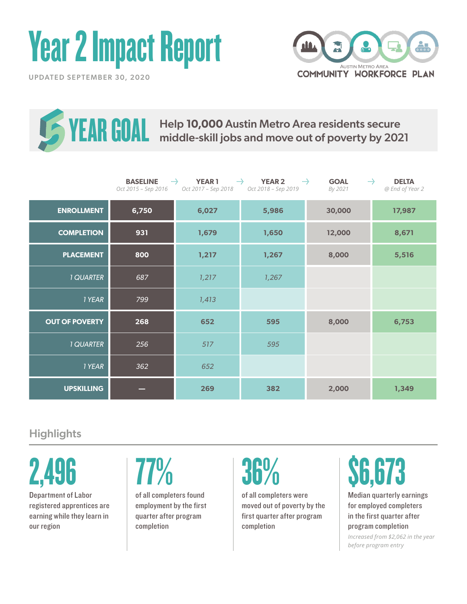# Year 2 Impact Report







Help **10,000** Austin Metro Area residents secure **YEAR GOAL** Help 10,000 Austin Metro Area residents secure<br> **YEAR GOAL** middle-skill jobs and move out of poverty by 2021

|                       | <b>BASELINE</b><br>Oct 2015 - Sep 2016 | and for<br><b>YEAR1</b><br>Oct 2017 - Sep 2018 | and for<br><b>YEAR 2</b><br>Oct 2018 - Sep 2019 | and for<br><b>GOAL</b><br>By 2021 | <b>DELTA</b><br>mily .<br>@ End of Year 2 |
|-----------------------|----------------------------------------|------------------------------------------------|-------------------------------------------------|-----------------------------------|-------------------------------------------|
| <b>ENROLLMENT</b>     | 6,750                                  | 6,027                                          | 5,986                                           | 30,000                            | 17,987                                    |
| <b>COMPLETION</b>     | 931                                    | 1,679                                          | 1,650                                           | 12,000                            | 8,671                                     |
| <b>PLACEMENT</b>      | 800                                    | 1,217                                          | 1,267                                           | 8,000                             | 5,516                                     |
| <b>1 QUARTER</b>      | 687                                    | 1,217                                          | 1,267                                           |                                   |                                           |
| 1 YEAR                | 799                                    | 1,413                                          |                                                 |                                   |                                           |
| <b>OUT OF POVERTY</b> | 268                                    | 652                                            | 595                                             | 8,000                             | 6,753                                     |
| <b>1 QUARTER</b>      | 256                                    | 517                                            | 595                                             |                                   |                                           |
| 1 YEAR                | 362                                    | 652                                            |                                                 |                                   |                                           |
| <b>UPSKILLING</b>     |                                        | 269                                            | 382                                             | 2,000                             | 1,349                                     |

## **Highlights**

2,496

Department of Labor registered apprentices are earning while they learn in our region

of all completers found employment by the first quarter after program completion

of all completers were moved out of poverty by the first quarter after program completion

## 77% 36% \$6,673

Median quarterly earnings for employed completers in the first quarter after program completion

*Increased from \$2,062 in the year before program entry*